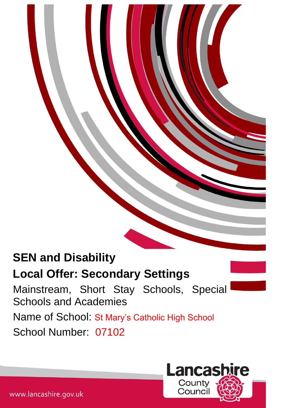# **SEN and Disability**

## **Local Offer: Secondary Settings**

Mainstream, Short Stay Schools, Special Schools and Academies Name of School: St Mary's Catholic High School School Number: 07102

|<br>|-



www.lancashire.gov.uk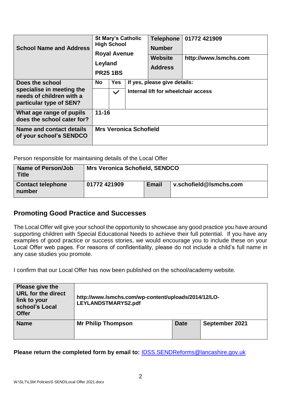| <b>School Name and Address</b>                                                                      | <b>St Mary's Catholic</b><br><b>High School</b><br><b>Royal Avenue</b><br>Leyland<br><b>PR25 1BS</b> |                            | <b>Telephone</b><br><b>Number</b><br><b>Website</b><br><b>Address</b> | 01772 421909<br>http://www.lsmchs.com                               |  |  |  |
|-----------------------------------------------------------------------------------------------------|------------------------------------------------------------------------------------------------------|----------------------------|-----------------------------------------------------------------------|---------------------------------------------------------------------|--|--|--|
| Does the school<br>specialise in meeting the<br>needs of children with a<br>particular type of SEN? | <b>No</b>                                                                                            | <b>Yes</b><br>$\checkmark$ |                                                                       | If yes, please give details:<br>Internal lift for wheelchair access |  |  |  |
| What age range of pupils<br>does the school cater for?                                              | $11 - 16$                                                                                            |                            |                                                                       |                                                                     |  |  |  |
| Name and contact details<br>of your school's SENDCO                                                 | <b>Mrs Veronica Schofield</b>                                                                        |                            |                                                                       |                                                                     |  |  |  |

Person responsible for maintaining details of the Local Offer

| Name of Person/Job<br><b>Title</b> | <b>Mrs Veronica Schofield, SENDCO</b> |              |                        |  |  |  |
|------------------------------------|---------------------------------------|--------------|------------------------|--|--|--|
| <b>Contact telephone</b><br>number | 01772 421909                          | <b>Email</b> | v.schofield@Ismchs.com |  |  |  |

### **Promoting Good Practice and Successes**

The Local Offer will give your school the opportunity to showcase any good practice you have around supporting children with Special Educational Needs to achieve their full potential. If you have any examples of good practice or success stories, we would encourage you to include these on your Local Offer web pages. For reasons of confidentiality, please do not include a child's full name in any case studies you promote.

I confirm that our Local Offer has now been published on the school/academy website.

| Please give the<br><b>URL for the direct</b><br>link to your<br>school's Local<br><b>Offer</b> | http://www.lsmchs.com/wp-content/uploads/2014/12/LO-<br>LEYLANDSTMARYS2.pdf |             |                |  |  |  |
|------------------------------------------------------------------------------------------------|-----------------------------------------------------------------------------|-------------|----------------|--|--|--|
| <b>Name</b>                                                                                    | <b>Mr Philip Thompson</b>                                                   | <b>Date</b> | September 2021 |  |  |  |

**Please return the completed form by email to:** [IDSS.SENDReforms@lancashire.gov.uk](mailto:IDSS.SENDReforms@lancashire.gov.uk)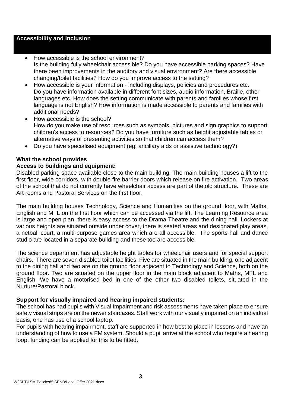#### **Accessibility and Inclusion**

#### • How accessible is the school environment? Is the building fully wheelchair accessible? Do you have accessible parking spaces? Have there been improvements in the auditory and visual environment? Are there accessible changing/toilet facilities? How do you improve access to the setting?

- How accessible is your information including displays, policies and procedures etc. Do you have information available in different font sizes, audio information, Braille, other languages etc. How does the setting communicate with parents and families whose first language is not English? How information is made accessible to parents and families with additional needs?
- How accessible is the school? How do you make use of resources such as symbols, pictures and sign graphics to support children's access to resources? Do you have furniture such as height adjustable tables or alternative ways of presenting activities so that children can access them?
- Do you have specialised equipment (eg; ancillary aids or assistive technology?)

#### **What the school provides**

#### **Access to buildings and equipment:**

Disabled parking space available close to the main building. The main building houses a lift to the first floor, wide corridors, with double fire barrier doors which release on fire activation. Two areas of the school that do not currently have wheelchair access are part of the old structure. These are Art rooms and Pastoral Services on the first floor.

The main building houses Technology, Science and Humanities on the ground floor, with Maths, English and MFL on the first floor which can be accessed via the lift. The Learning Resource area is large and open plan, there is easy access to the Drama Theatre and the dining hall. Lockers at various heights are situated outside under cover, there is seated areas and designated play areas, a netball court, a multi-purpose games area which are all accessible. The sports hall and dance studio are located in a separate building and these too are accessible.

The science department has adjustable height tables for wheelchair users and for special support chairs. There are seven disabled toilet facilities. Five are situated in the main building, one adjacent to the dining hall and two are on the ground floor adjacent to Technology and Science, both on the ground floor. Two are situated on the upper floor in the main block adjacent to Maths, MFL and English. We have a motorised bed in one of the other two disabled toilets, situated in the Nurture/Pastoral block.

#### **Support for visually impaired and hearing impaired students:**

The school has had pupils with Visual Impairment and risk assessments have taken place to ensure safety visual strips are on the newer staircases. Staff work with our visually impaired on an individual basis; one has use of a school laptop.

For pupils with hearing impairment, staff are supported in how best to place in lessons and have an understanding of how to use a FM system. Should a pupil arrive at the school who require a hearing loop, funding can be applied for this to be fitted.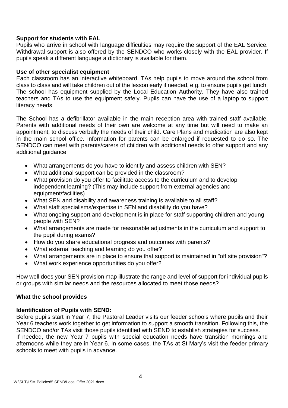#### **Support for students with EAL**

Pupils who arrive in school with language difficulties may require the support of the EAL Service. Withdrawal support is also offered by the SENDCO who works closely with the EAL provider. If pupils speak a different language a dictionary is available for them.

#### **Use of other specialist equipment**

Each classroom has an interactive whiteboard. TAs help pupils to move around the school from class to class and will take children out of the lesson early if needed, e.g. to ensure pupils get lunch. The school has equipment supplied by the Local Education Authority. They have also trained teachers and TAs to use the equipment safely. Pupils can have the use of a laptop to support literacy needs.

The School has a defibrillator available in the main reception area with trained staff available. Parents with additional needs of their own are welcome at any time but will need to make an appointment, to discuss verbally the needs of their child. Care Plans and medication are also kept in the main school office. Information for parents can be enlarged if requested to do so. The SENDCO can meet with parents/carers of children with additional needs to offer support and any additional guidance

- What arrangements do you have to identify and assess children with SEN?
- What additional support can be provided in the classroom?
- What provision do you offer to facilitate access to the curriculum and to develop independent learning? (This may include support from external agencies and equipment/facilities)
- What SEN and disability and awareness training is available to all staff?
- What staff specialisms/expertise in SEN and disability do you have?
- What ongoing support and development is in place for staff supporting children and young people with SEN?
- What arrangements are made for reasonable adjustments in the curriculum and support to the pupil during exams?
- How do you share educational progress and outcomes with parents?
- What external teaching and learning do you offer?
- What arrangements are in place to ensure that support is maintained in "off site provision"?
- What work experience opportunities do you offer?

How well does your SEN provision map illustrate the range and level of support for individual pupils or groups with similar needs and the resources allocated to meet those needs?

#### **What the school provides**

#### **Identification of Pupils with SEND:**

Before pupils start in Year 7, the Pastoral Leader visits our feeder schools where pupils and their Year 6 teachers work together to get information to support a smooth transition. Following this, the SENDCO and/or TAs visit those pupils identified with SEND to establish strategies for success. If needed, the new Year 7 pupils with special education needs have transition mornings and afternoons while they are in Year 6. In some cases, the TAs at St Mary's visit the feeder primary schools to meet with pupils in advance.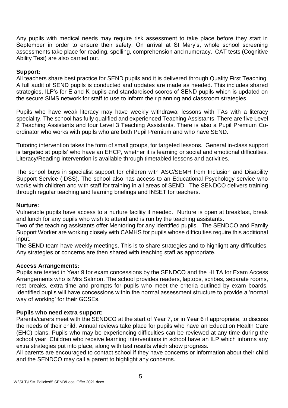Any pupils with medical needs may require risk assessment to take place before they start in September in order to ensure their safety. On arrival at St Mary's, whole school screening assessments take place for reading, spelling, comprehension and numeracy. CAT tests (Cognitive Ability Test) are also carried out.

#### **Support:**

All teachers share best practice for SEND pupils and it is delivered through Quality First Teaching. A full audit of SEND pupils is conducted and updates are made as needed. This includes shared strategies, ILP's for E and K pupils and standardised scores of SEND pupils which is updated on the secure SIMS network for staff to use to inform their planning and classroom strategies.

Pupils who have weak literacy may have weekly withdrawal lessons with TAs with a literacy speciality. The school has fully qualified and experienced Teaching Assistants. There are five Level 2 Teaching Assistants and four Level 3 Teaching Assistants. There is also a Pupil Premium Coordinator who works with pupils who are both Pupil Premium and who have SEND.

Tutoring intervention takes the form of small groups, for targeted lessons. General in-class support is targeted at pupils' who have an EHCP, whether it is learning or social and emotional difficulties. Literacy/Reading intervention is available through timetabled lessons and activities.

The school buys in specialist support for children with ASC/SEMH from Inclusion and Disability Support Service (IDSS). The school also has access to an Educational Psychology service who works with children and with staff for training in all areas of SEND. The SENDCO delivers training through regular teaching and learning briefings and INSET for teachers.

#### **Nurture:**

Vulnerable pupils have access to a nurture facility if needed. Nurture is open at breakfast, break and lunch for any pupils who wish to attend and is run by the teaching assistants.

Two of the teaching assistants offer Mentoring for any identified pupils. The SENDCO and Family Support Worker are working closely with CAMHS for pupils whose difficulties require this additional input.

The SEND team have weekly meetings. This is to share strategies and to highlight any difficulties. Any strategies or concerns are then shared with teaching staff as appropriate.

#### **Access Arrangements:**

Pupils are tested in Year 9 for exam concessions by the SENDCO and the HLTA for Exam Access Arrangements who is Mrs Salmon. The school provides readers, laptops, scribes, separate rooms, rest breaks, extra time and prompts for pupils who meet the criteria outlined by exam boards. Identified pupils will have concessions within the normal assessment structure to provide a 'normal way of working' for their GCSEs.

#### **Pupils who need extra support:**

Parents/carers meet with the SENDCO at the start of Year 7, or in Year 6 if appropriate, to discuss the needs of their child. Annual reviews take place for pupils who have an Education Health Care (EHC) plans. Pupils who may be experiencing difficulties can be reviewed at any time during the school year. Children who receive learning interventions in school have an ILP which informs any extra strategies put into place, along with test results which show progress.

All parents are encouraged to contact school if they have concerns or information about their child and the SENDCO may call a parent to highlight any concerns.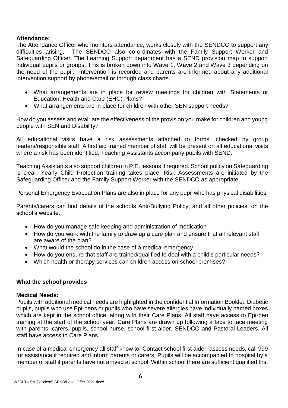#### **Attendance:**

The Attendance Officer who monitors attendance, works closely with the SENDCO to support any difficulties arising. The SENDCO also co-ordinates with the Family Support Worker and Safeguarding Officer. The Learning Support department has a SEND provision map to support individual pupils or groups. This is broken down into Wave 1, Wave 2 and Wave 3 depending on the need of the pupil. Intervention is recorded and parents are informed about any additional intervention support by phone/email or through class charts.

- What arrangements are in place for review meetings for children with Statements or Education, Health and Care (EHC) Plans?
- What arrangements are in place for children with other SEN support needs?

How do you assess and evaluate the effectiveness of the provision you make for children and young people with SEN and Disability?

All educational visits have a risk assessments attached to forms, checked by group leaders/responsible staff. A first aid trained member of staff will be present on all educational visits where a risk has been identified. Teaching Assistants accompany pupils with SEND.

Teaching Assistants also support children in P.E. lessons if required. School policy on Safeguarding is clear. Yearly Child Protection training takes place. Risk Assessments are initiated by the Safeguarding Officer and the Family Support Worker with the SENDCO as appropriate.

Personal Emergency Evacuation Plans are also in place for any pupil who has physical disabilities.

Parents/carers can find details of the schools Anti-Bullying Policy, and all other policies, on the school's website.

- How do you manage safe keeping and administration of medication
- How do you work with the family to draw up a care plan and ensure that all relevant staff are aware of the plan?
- What would the school do in the case of a medical emergency
- How do you ensure that staff are trained/qualified to deal with a child's particular needs?
- Which health or therapy services can children access on school premises?

#### **What the school provides**

#### **Medical Needs:**

Pupils with additional medical needs are highlighted in the confidential Information Booklet. Diabetic pupils, pupils who use Epi-pens or pupils who have severe allergies have individually named boxes which are kept in the school office, along with their Care Plans. All staff have access to Epi-pen training at the start of the school year. Care Plans are drawn up following a face to face meeting with parents, carers, pupils, school nurse, school first aider, SENDCO and Pastoral Leaders. All staff have access to Care Plans.

In case of a medical emergency all staff know to: Contact school first aider, assess needs, call 999 for assistance if required and inform parents or carers. Pupils will be accompanied to hospital by a member of staff if parents have not arrived at school. Within school there are sufficient qualified first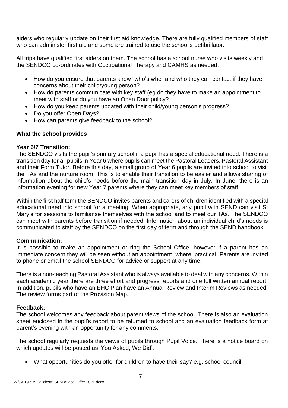aiders who regularly update on their first aid knowledge. There are fully qualified members of staff who can administer first aid and some are trained to use the school's defibrillator.

All trips have qualified first aiders on them. The school has a school nurse who visits weekly and the SENDCO co-ordinates with Occupational Therapy and CAMHS as needed.

- How do you ensure that parents know "who's who" and who they can contact if they have concerns about their child/young person?
- How do parents communicate with key staff (eg do they have to make an appointment to meet with staff or do you have an Open Door policy?
- How do you keep parents updated with their child/young person's progress?
- Do you offer Open Days?
- How can parents give feedback to the school?

#### **What the school provides**

#### **Year 6/7 Transition:**

The SENDCO visits the pupil's primary school if a pupil has a special educational need. There is a transition day for all pupils in Year 6 where pupils can meet the Pastoral Leaders, Pastoral Assistant and their Form Tutor. Before this day, a small group of Year 6 pupils are invited into school to visit the TAs and the nurture room. This is to enable their transition to be easier and allows sharing of information about the child's needs before the main transition day in July. In June, there is an information evening for new Year 7 parents where they can meet key members of staff.

Within the first half term the SENDCO invites parents and carers of children identified with a special educational need into school for a meeting. When appropriate, any pupil with SEND can visit St Mary's for sessions to familiarise themselves with the school and to meet our TAs. The SENDCO can meet with parents before transition if needed. Information about an individual child's needs is communicated to staff by the SENDCO on the first day of term and through the SEND handbook.

#### **Communication:**

It is possible to make an appointment or ring the School Office, however if a parent has an immediate concern they will be seen without an appointment, where practical. Parents are invited to phone or email the school SENDCO for advice or support at any time.

There is a non-teaching Pastoral Assistant who is always available to deal with any concerns. Within each academic year there are three effort and progress reports and one full written annual report. In addition, pupils who have an EHC Plan have an Annual Review and Interim Reviews as needed. The review forms part of the Provision Map.

#### **Feedback:**

The school welcomes any feedback about parent views of the school. There is also an evaluation sheet enclosed in the pupil's report to be returned to school and an evaluation feedback form at parent's evening with an opportunity for any comments.

The school regularly requests the views of pupils through Pupil Voice. There is a notice board on which updates will be posted as 'You Asked, We Did'.

What opportunities do you offer for children to have their say? e.g. school council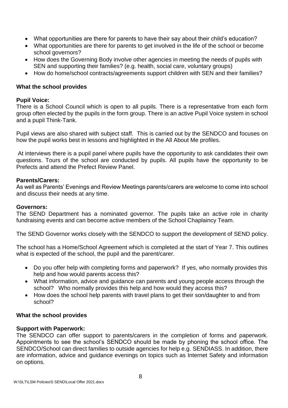- What opportunities are there for parents to have their say about their child's education?
- What opportunities are there for parents to get involved in the life of the school or become school governors?
- How does the Governing Body involve other agencies in meeting the needs of pupils with SEN and supporting their families? (e.g. health, social care, voluntary groups)
- How do home/school contracts/agreements support children with SEN and their families?

#### **What the school provides**

#### **Pupil Voice:**

There is a School Council which is open to all pupils. There is a representative from each form group often elected by the pupils in the form group. There is an active Pupil Voice system in school and a pupil Think-Tank.

Pupil views are also shared with subject staff. This is carried out by the SENDCO and focuses on how the pupil works best in lessons and highlighted in the All About Me profiles.

At interviews there is a pupil panel where pupils have the opportunity to ask candidates their own questions. Tours of the school are conducted by pupils. All pupils have the opportunity to be Prefects and attend the Prefect Review Panel.

#### **Parents/Carers:**

As well as Parents' Evenings and Review Meetings parents/carers are welcome to come into school and discuss their needs at any time.

#### **Governors:**

The SEND Department has a nominated governor. The pupils take an active role in charity fundraising events and can become active members of the School Chaplaincy Team.

The SEND Governor works closely with the SENDCO to support the development of SEND policy.

The school has a Home/School Agreement which is completed at the start of Year 7. This outlines what is expected of the school, the pupil and the parent/carer.

- Do you offer help with completing forms and paperwork? If yes, who normally provides this help and how would parents access this?
- What information, advice and guidance can parents and young people access through the school? Who normally provides this help and how would they access this?
- How does the school help parents with travel plans to get their son/daughter to and from school?

#### **What the school provides**

#### **Support with Paperwork:**

The SENDCO can offer support to parents/carers in the completion of forms and paperwork. Appointments to see the school's SENDCO should be made by phoning the school office. The SENDCO/School can direct families to outside agencies for help e.g. SENDIASS. In addition, there are information, advice and guidance evenings on topics such as Internet Safety and information on options.